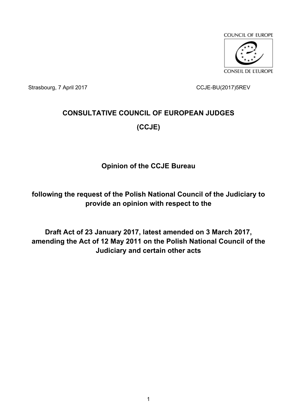

Strasbourg, 7 April 2017 CCJE-BU(2017)5REV

# **CONSULTATIVE COUNCIL OF EUROPEAN JUDGES (CCJE)**

## **Opinion of the CCJE Bureau**

**following the request of the Polish National Council of the Judiciary to provide an opinion with respect to the** 

**Draft Act of 23 January 2017, latest amended on 3 March 2017, amending the Act of 12 May 2011 on the Polish National Council of the Judiciary and certain other acts**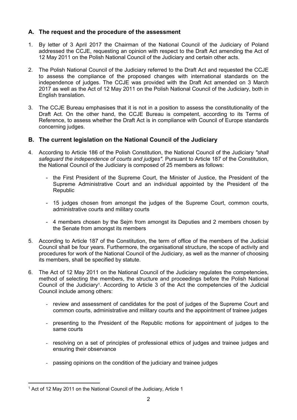### **A. The request and the procedure of the assessment**

- 1. By letter of 3 April 2017 the Chairman of the National Council of the Judiciary of Poland addressed the CCJE, requesting an opinion with respect to the Draft Act amending the Act of 12 May 2011 on the Polish National Council of the Judiciary and certain other acts.
- 2. The Polish National Council of the Judiciary referred to the Draft Act and requested the CCJE to assess the compliance of the proposed changes with international standards on the independence of judges. The CCJE was provided with the Draft Act amended on 3 March 2017 as well as the Act of 12 May 2011 on the Polish National Council of the Judiciary, both in English translation.
- 3. The CCJE Bureau emphasises that it is not in a position to assess the constitutionality of the Draft Act. On the other hand, the CCJE Bureau is competent, according to its Terms of Reference, to assess whether the Draft Act is in compliance with Council of Europe standards concerning judges.

#### **B. The current legislation on the National Council of the Judiciary**

- 4. According to Article 186 of the Polish Constitution, the National Council of the Judiciary *"shall safeguard the independence of courts and judges"*. Pursuant to Article 187 of the Constitution, the National Council of the Judiciary is composed of 25 members as follows:
	- the First President of the Supreme Court, the Minister of Justice, the President of the Supreme Administrative Court and an individual appointed by the President of the Republic
	- 15 judges chosen from amongst the judges of the Supreme Court, common courts, administrative courts and military courts
	- 4 members chosen by the Sejm from amongst its Deputies and 2 members chosen by the Senate from amongst its members
- 5. According to Article 187 of the Constitution, the term of office of the members of the Judicial Council shall be four years. Furthermore, the organisational structure, the scope of activity and procedures for work of the National Council of the Judiciary, as well as the manner of choosing its members, shall be specified by statute.
- 6. The Act of 12 May 2011 on the National Council of the Judiciary regulates the competencies, method of selecting the members, the structure and proceedings before the Polish National Council of the Judiciary<sup>1</sup>. According to Article 3 of the Act the competencies of the Judicial Council include among others:
	- review and assessment of candidates for the post of judges of the Supreme Court and common courts, administrative and military courts and the appointment of trainee judges
	- presenting to the President of the Republic motions for appointment of judges to the same courts
	- resolving on a set of principles of professional ethics of judges and trainee judges and ensuring their observance
	- passing opinions on the condition of the judiciary and trainee judges

<sup>&</sup>lt;sup>1</sup> Act of 12 May 2011 on the National Council of the Judiciary, Article 1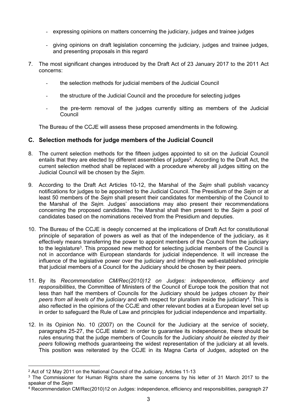- expressing opinions on matters concerning the judiciary, judges and trainee judges
- giving opinions on draft legislation concerning the judiciary, judges and trainee judges, and presenting proposals in this regard
- 7. The most significant changes introduced by the Draft Act of 23 January 2017 to the 2011 Act concerns:
	- the selection methods for judicial members of the Judicial Council
	- the structure of the Judicial Council and the procedure for selecting judges
	- the pre-term removal of the judges currently sitting as members of the Judicial Council

The Bureau of the CCJE will assess these proposed amendments in the following.

#### **C. Selection methods for judge members of the Judicial Council**

- 8. The current selection methods for the fifteen judges appointed to sit on the Judicial Council entails that they are elected by different assemblies of judges<sup>2</sup>. According to the Draft Act, the current selection method shall be replaced with a procedure whereby all judges sitting on the Judicial Council will be chosen by the *Sejm*.
- 9. According to the Draft Act Articles 10-12, the Marshal of the *Sejm* shall publish vacancy notifications for judges to be appointed to the Judicial Council. The Presidium of the *Sejm* or at least 50 members of the *Sejm* shall present their candidates for membership of the Council to the Marshal of the *Sejm.* Judges' associations may also present their recommendations concerning the proposed candidates. The Marshal shall then present to the *Sejm* a pool of candidates based on the nominations received from the Presidium and deputies.
- 10. The Bureau of the CCJE is deeply concerned at the implications of Draft Act for constitutional principle of separation of powers as well as that of the independence of the judiciary, as it effectively means transferring the power to appoint members of the Council from the judiciary to the legislature<sup>3</sup>. This proposed new method for selecting judicial members of the Council is not in accordance with European standards for judicial independence. It will increase the influence of the legislative power over the judiciary and infringe the well-established principle that judicial members of a Council for the Judiciary should be chosen by their peers.
- 11. By its *Recommendation CM/Rec(2010)12 on Judges: independence, efficiency and responsibilities*, the Committee of Ministers of the Council of Europe took the position that not less than half the members of Councils for the Judiciary should be judges *chosen by their*  peers from all levels of the judiciary and with respect for pluralism inside the judiciary<sup>4</sup>. This is also reflected in the opinions of the CCJE and other relevant bodies at a European level set up in order to safeguard the Rule of Law and principles for judicial independence and impartiality.
- 12. In its Opinion No. 10 (2007) on the Council for the Judiciary at the service of society, paragraphs 25-27, the CCJE stated: In order to guarantee its independence, there should be rules ensuring that the judge members of Councils for the Judiciary *should be elected by their peers* following methods guaranteeing the widest representation of the judiciary at all levels. This position was reiterated by the CCJE in its Magna Carta of Judges, adopted on the

<sup>2</sup> Act of 12 May 2011 on the National Council of the Judiciary, Articles 11-13

<sup>&</sup>lt;sup>3</sup> The Commissioner for Human Rights share the same concerns by his letter of 31 March 2017 to the speaker of the *Sejm*

<sup>4</sup> Recommendation CM/Rec(2010)12 on Judges: independence, efficiency and responsibilities, paragraph 27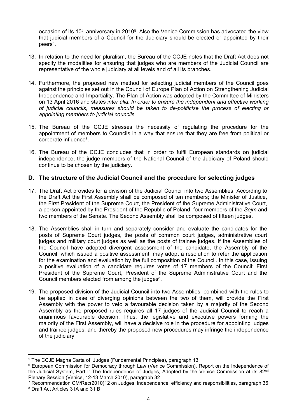occasion of its 10<sup>th</sup> anniversary in 2010<sup>5</sup>. Also the Venice Commission has advocated the view that judicial members of a Council for the Judiciary should be elected or appointed by their peers<sup>6</sup>.

- 13. In relation to the need for pluralism, the Bureau of the CCJE notes that the Draft Act does not specify the modalities for ensuring that judges who are members of the Judicial Council are representative of the whole judiciary at all levels and of all its branches.
- 14. Furthermore, the proposed new method for selecting judicial members of the Council goes against the principles set out in the Council of Europe Plan of Action on Strengthening Judicial Independence and Impartiality. The Plan of Action was adopted by the Committee of Ministers on 13 April 2016 and states *inter alia*: *In order to ensure the independent and effective working of judicial councils, measures should be taken to de-politicise the process of electing or appointing members to judicial councils*.
- 15. The Bureau of the CCJE stresses the necessity of regulating the procedure for the appointment of members to Councils in a way that ensure that they are free from political or corporate influence<sup>7</sup>.
- 16. The Bureau of the CCJE concludes that in order to fulfil European standards on judicial independence, the judge members of the National Council of the Judiciary of Poland should continue to be chosen by the judiciary.

#### **D. The structure of the Judicial Council and the procedure for selecting judges**

- 17. The Draft Act provides for a division of the Judicial Council into two Assemblies. According to the Draft Act the First Assembly shall be composed of ten members; the Minister of Justice, the First President of the Supreme Court, the President of the Supreme Administrative Court, a person appointed by the President of the Republic of Poland, four members of the *Sejm* and two members of the Senate. The Second Assembly shall be composed of fifteen judges.
- 18. The Assemblies shall in turn and separately consider and evaluate the candidates for the posts of Supreme Court judges, the posts of common court judges, administrative court judges and military court judges as well as the posts of trainee judges. If the Assemblies of the Council have adopted divergent assessment of the candidate, the Assembly of the Council, which issued a positive assessment, may adopt a resolution to refer the application for the examination and evaluation by the full composition of the Council. In this case, issuing a positive evaluation of a candidate requires votes of 17 members of the Council: First President of the Supreme Court, President of the Supreme Administrative Court and the Council members elected from among the judges<sup>8</sup>.
- 19. The proposed division of the Judicial Council into two Assemblies, combined with the rules to be applied in case of diverging opinions between the two of them, will provide the First Assembly with the power to veto a favourable decision taken by a majority of the Second Assembly as the proposed rules requires all 17 judges of the Judicial Council to reach a unanimous favourable decision. Thus, the legislative and executive powers forming the majority of the First Assembly, will have a decisive role in the procedure for appointing judges and trainee judges, and thereby the proposed new procedures may infringe the independence of the judiciary.

<sup>5</sup> The CCJE Magna Carta of Judges (Fundamental Principles), paragraph 13

<sup>&</sup>lt;sup>6</sup> European Commission for Democracy through Law (Venice Commission), Report on the Independence of the Judicial System, Part I: The Independence of Judges, Adopted by the Venice Commission at its 82<sup>nd</sup> Plenary Session (Venice, 12-13 March 2010), paragraph 32

<sup>7</sup> Recommendation CM/Rec(2010)12 on Judges: independence, efficiency and responsibilities, paragraph 36 8 Draft Act Articles 31A and 31 B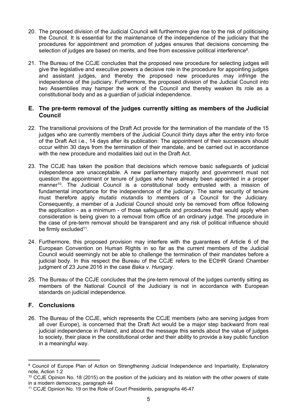- 20. The proposed division of the Judicial Council will furthermore give rise to the risk of politicising the Council. It is essential for the maintenance of the independence of the judiciary that the procedures for appointment and promotion of judges ensures that decisions concerning the selection of judges are based on merits, and free from excessive political interference<sup>9</sup>.
- 21. The Bureau of the CCJE concludes that the proposed new procedure for selecting judges will give the legislative and executive powers a decisive role in the procedure for appointing judges and assistant judges, and thereby the proposed new procedures may infringe the independence of the judiciary. Furthermore, the proposed division of the Judicial Council into two Assemblies may hamper the work of the Council and thereby weaken its role as a constitutional body and as a guardian of judicial independence.

#### **E. The pre-term removal of the judges currently sitting as members of the Judicial Council**

- 22. The transitional provisions of the Draft Act provide for the termination of the mandate of the 15 judges who are currently members of the Judicial Council thirty days after the entry into force of the Draft Act i.e., 14 days after its publication: The appointment of their successors should occur within 30 days from the termination of their mandate, and be carried out in accordance with the new procedure and modalities laid out in the Draft Act.
- 23. The CCJE has taken the position that decisions which remove basic safeguards of judicial independence are unacceptable. A new parliamentary majority and government must not question the appointment or tenure of judges who have already been appointed in a proper manner<sup>10</sup>. The Judicial Council is a constitutional body entrusted with a mission of fundamental importance for the independence of the judiciary. The same security of tenure must therefore apply *mutatis mutandis* to members of a Council for the Judiciary. Consequently, a member of a Judicial Council should only be removed from office following the application - as a minimum - of those safeguards and procedures that would apply when consideration is being given to a removal from office of an ordinary judge. The procedure in the case of pre-term removal should be transparent and any risk of political influence should be firmly excluded<sup>11</sup>.
- 24. Furthermore, this proposed provision may interfere with the guarantees of Article 6 of the European Convention on Human Rights in so far as the current members of the Judicial Council would seemingly not be able to challenge the termination of their mandates before a judicial body. In this respect the Bureau of the CCJE refers to the ECtHR Grand Chamber judgment of 23 June 2016 in the case *Baka v. Hungary*.
- 25. The Bureau of the CCJE concludes that the pre-term removal of the judges currently sitting as members of the National Council of the Judiciary is not in accordance with European standards on judicial independence.

#### **F. Conclusions**

26. The Bureau of the CCJE, which represents the CCJE members (who are serving judges from all over Europe), is concerned that the Draft Act would be a major step backward from real judicial independence in Poland, and about the message this sends about the value of judges to society, their place in the constitutional order and their ability to provide a key public function in a meaningful way.

<sup>9</sup> Council of Europe Plan of Action on Strengthening Judicial Independence and Impartiality, Explanatory note, Action 1.2

<sup>&</sup>lt;sup>10</sup> CCJE Opinion No. 18 (2015) on the position of the judiciary and its relation with the other powers of state in a modern democracy, paragraph 44

<sup>11</sup> CCJE Opinion No. 19 on the Role of Court Presidents, paragraphs 46-47